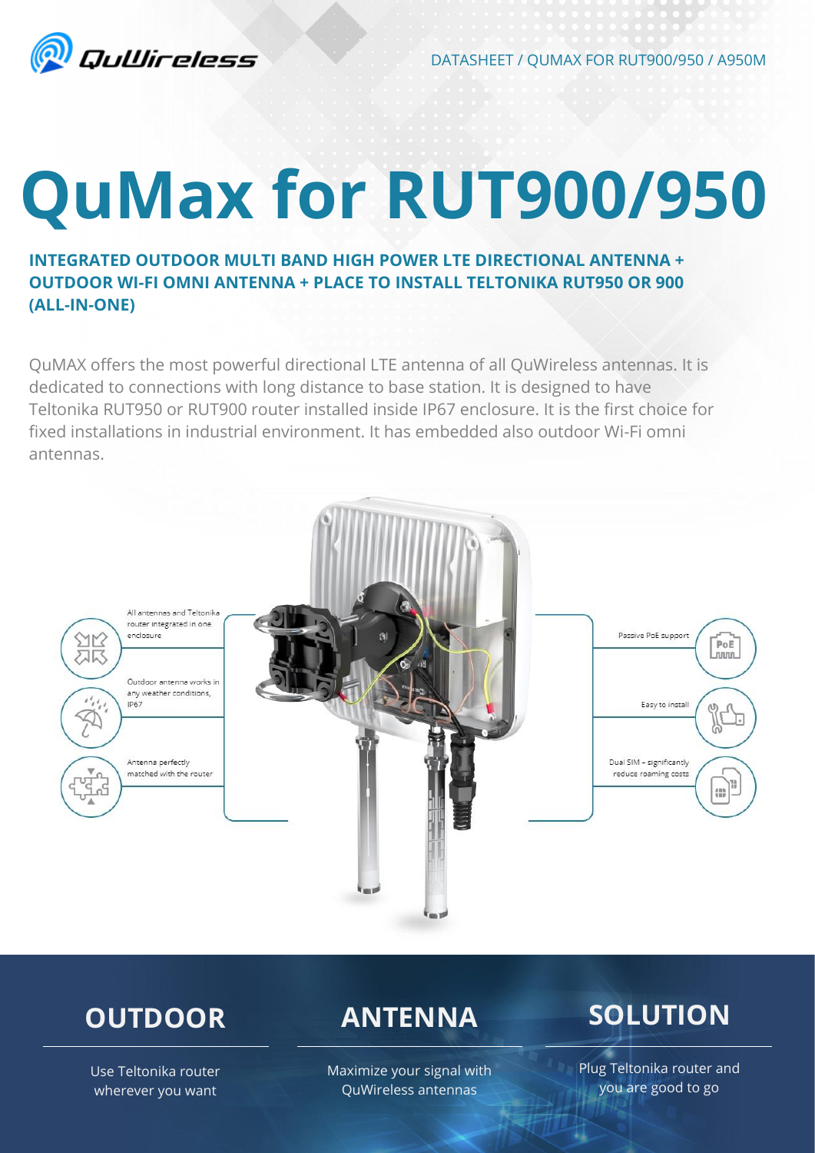

DATASHEET / QUMAX FOR RUT900/950 / A950M

# **QuMax for RUT900/950**

### **INTEGRATED OUTDOOR MULTI BAND HIGH POWER LTE DIRECTIONAL ANTENNA + OUTDOOR WI-FI OMNI ANTENNA + PLACE TO INSTALL TELTONIKA RUT950 OR 900 (ALL-IN-ONE)**

QuMAX offers the most powerful directional LTE antenna of all QuWireless antennas. It is dedicated to connections with long distance to base station. It is designed to have Teltonika RUT950 or RUT900 router installed inside IP67 enclosure. It is the first choice for fixed installations in industrial environment. It has embedded also outdoor Wi-Fi omni antennas.



# **OUTDOOR**

## **ANTENNA**

Maximize your signal with QuWireless antennas

**SOLUTION**

Use Teltonika router wherever you want

### Plug Teltonika router and you are good to go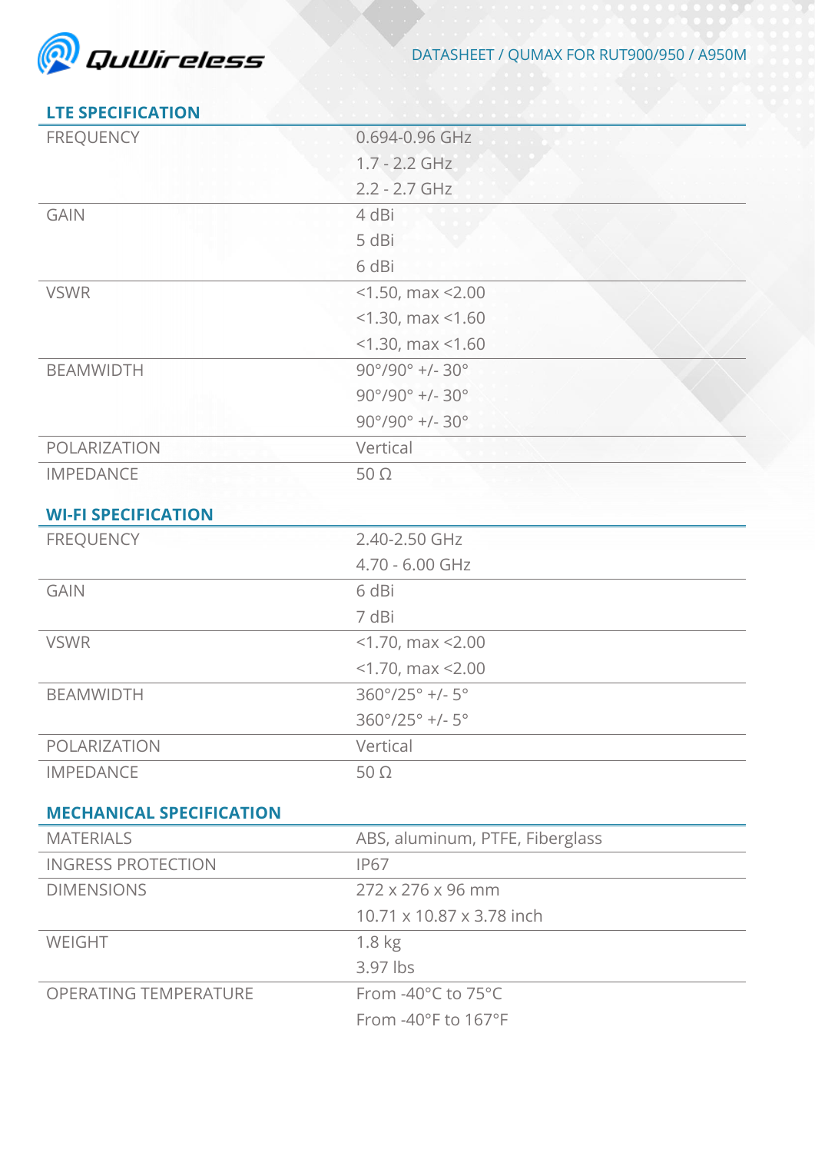

#### **LTE SPECIFICATION**

| <b>FREQUENCY</b>                | 0.694-0.96 GHz                           |
|---------------------------------|------------------------------------------|
|                                 | $1.7 - 2.2$ GHz                          |
|                                 | $2.2 - 2.7$ GHz                          |
| <b>GAIN</b>                     | 4 dBi                                    |
|                                 | 5 dBi                                    |
|                                 | 6 dBi                                    |
| <b>VSWR</b>                     | $<$ 1.50, max $<$ 2.00                   |
|                                 | $<$ 1.30, max $<$ 1.60                   |
|                                 | $<$ 1.30, max $<$ 1.60                   |
| <b>BEAMWIDTH</b>                | $90^{\circ}/90^{\circ}$ +/- 30°          |
|                                 | $90^{\circ}/90^{\circ}$ +/- 30°          |
|                                 | $90^{\circ}/90^{\circ}$ +/- 30°          |
| POLARIZATION                    | Vertical                                 |
| <b>IMPEDANCE</b>                | $50\Omega$                               |
|                                 |                                          |
| <b>WI-FI SPECIFICATION</b>      |                                          |
| <b>FREQUENCY</b>                | 2.40-2.50 GHz                            |
|                                 | 4.70 - 6.00 GHz                          |
| <b>GAIN</b>                     | 6 dBi                                    |
|                                 | 7 dBi                                    |
| <b>VSWR</b>                     | $<$ 1.70, max $<$ 2.00                   |
|                                 | $<$ 1.70, max $<$ 2.00                   |
| <b>BEAMWIDTH</b>                | $360^{\circ}/25^{\circ}$ +/- $5^{\circ}$ |
|                                 | $360^{\circ}/25^{\circ}$ +/- $5^{\circ}$ |
| POLARIZATION                    | Vertical                                 |
| <b>IMPEDANCE</b>                | $50\Omega$                               |
| <b>MECHANICAL SPECIFICATION</b> |                                          |
| <b>MATERIALS</b>                | ABS, aluminum, PTFE, Fiberglass          |
| <b>INGRESS PROTECTION</b>       | <b>IP67</b>                              |
| <b>DIMENSIONS</b>               | 272 x 276 x 96 mm                        |
|                                 | 10.71 x 10.87 x 3.78 inch                |
| WEIGHT                          | 1.8 <sub>kg</sub>                        |
|                                 | 3.97 lbs                                 |
| <b>OPERATING TEMPERATURE</b>    | From $-40^{\circ}$ C to 75 $^{\circ}$ C  |
|                                 | From -40°F to 167°F                      |
|                                 |                                          |